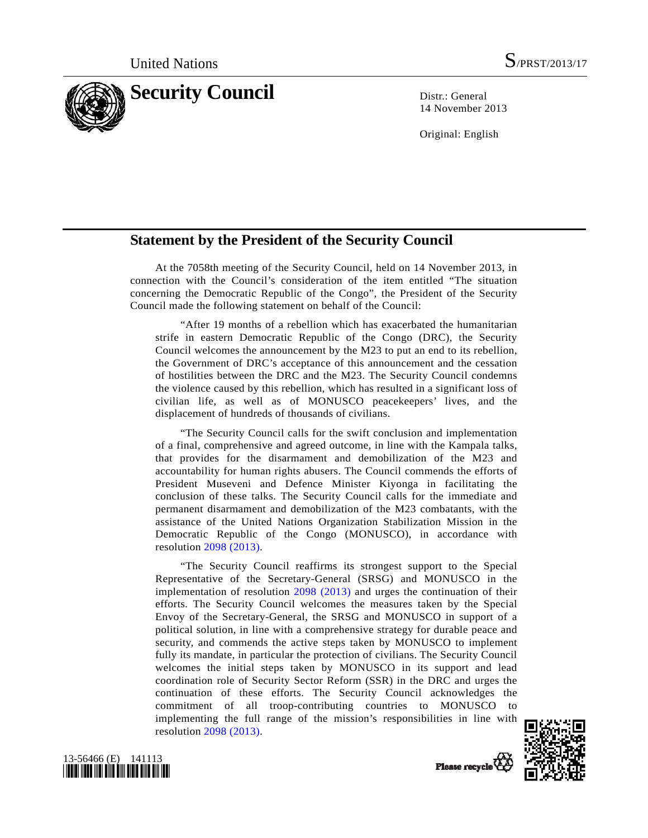

14 November 2013

Original: English

## **Statement by the President of the Security Council**

 At the 7058th meeting of the Security Council, held on 14 November 2013, in connection with the Council's consideration of the item entitled "The situation concerning the Democratic Republic of the Congo", the President of the Security Council made the following statement on behalf of the Council:

 "After 19 months of a rebellion which has exacerbated the humanitarian strife in eastern Democratic Republic of the Congo (DRC), the Security Council welcomes the announcement by the M23 to put an end to its rebellion, the Government of DRC's acceptance of this announcement and the cessation of hostilities between the DRC and the M23. The Security Council condemns the violence caused by this rebellion, which has resulted in a significant loss of civilian life, as well as of MONUSCO peacekeepers' lives, and the displacement of hundreds of thousands of civilians.

 "The Security Council calls for the swift conclusion and implementation of a final, comprehensive and agreed outcome, in line with the Kampala talks, that provides for the disarmament and demobilization of the M23 and accountability for human rights abusers. The Council commends the efforts of President Museveni and Defence Minister Kiyonga in facilitating the conclusion of these talks. The Security Council calls for the immediate and permanent disarmament and demobilization of the M23 combatants, with the assistance of the United Nations Organization Stabilization Mission in the Democratic Republic of the Congo (MONUSCO), in accordance with resolution [2098 \(2013\).](http://undocs.org/S/RES/2098(2013))

 "The Security Council reaffirms its strongest support to the Special Representative of the Secretary-General (SRSG) and MONUSCO in the implementation of resolution [2098 \(2013\)](http://undocs.org/S/RES/2098(2013)) and urges the continuation of their efforts. The Security Council welcomes the measures taken by the Special Envoy of the Secretary-General, the SRSG and MONUSCO in support of a political solution, in line with a comprehensive strategy for durable peace and security, and commends the active steps taken by MONUSCO to implement fully its mandate, in particular the protection of civilians. The Security Council welcomes the initial steps taken by MONUSCO in its support and lead coordination role of Security Sector Reform (SSR) in the DRC and urges the continuation of these efforts. The Security Council acknowledges the commitment of all troop-contributing countries to MONUSCO to implementing the full range of the mission's responsibilities in line with resolution [2098 \(2013\).](http://undocs.org/S/RES/2098(2013))





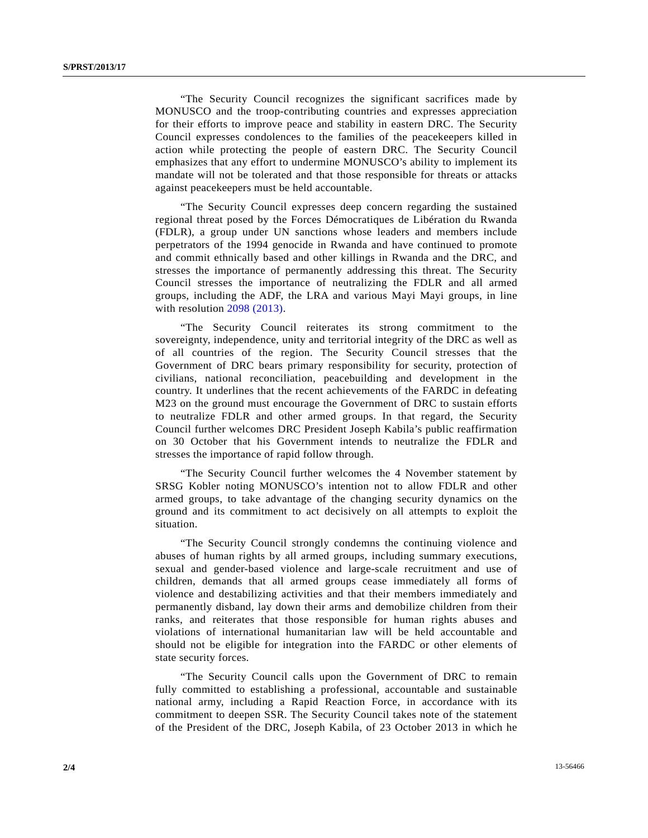"The Security Council recognizes the significant sacrifices made by MONUSCO and the troop-contributing countries and expresses appreciation for their efforts to improve peace and stability in eastern DRC. The Security Council expresses condolences to the families of the peacekeepers killed in action while protecting the people of eastern DRC. The Security Council emphasizes that any effort to undermine MONUSCO's ability to implement its mandate will not be tolerated and that those responsible for threats or attacks against peacekeepers must be held accountable.

 "The Security Council expresses deep concern regarding the sustained regional threat posed by the Forces Démocratiques de Libération du Rwanda (FDLR), a group under UN sanctions whose leaders and members include perpetrators of the 1994 genocide in Rwanda and have continued to promote and commit ethnically based and other killings in Rwanda and the DRC, and stresses the importance of permanently addressing this threat. The Security Council stresses the importance of neutralizing the FDLR and all armed groups, including the ADF, the LRA and various Mayi Mayi groups, in line with resolution [2098 \(2013\)](http://undocs.org/S/RES/2098(2013)).

 "The Security Council reiterates its strong commitment to the sovereignty, independence, unity and territorial integrity of the DRC as well as of all countries of the region. The Security Council stresses that the Government of DRC bears primary responsibility for security, protection of civilians, national reconciliation, peacebuilding and development in the country. It underlines that the recent achievements of the FARDC in defeating M23 on the ground must encourage the Government of DRC to sustain efforts to neutralize FDLR and other armed groups. In that regard, the Security Council further welcomes DRC President Joseph Kabila's public reaffirmation on 30 October that his Government intends to neutralize the FDLR and stresses the importance of rapid follow through.

 "The Security Council further welcomes the 4 November statement by SRSG Kobler noting MONUSCO's intention not to allow FDLR and other armed groups, to take advantage of the changing security dynamics on the ground and its commitment to act decisively on all attempts to exploit the situation.

 "The Security Council strongly condemns the continuing violence and abuses of human rights by all armed groups, including summary executions, sexual and gender-based violence and large-scale recruitment and use of children, demands that all armed groups cease immediately all forms of violence and destabilizing activities and that their members immediately and permanently disband, lay down their arms and demobilize children from their ranks, and reiterates that those responsible for human rights abuses and violations of international humanitarian law will be held accountable and should not be eligible for integration into the FARDC or other elements of state security forces.

 "The Security Council calls upon the Government of DRC to remain fully committed to establishing a professional, accountable and sustainable national army, including a Rapid Reaction Force, in accordance with its commitment to deepen SSR. The Security Council takes note of the statement of the President of the DRC, Joseph Kabila, of 23 October 2013 in which he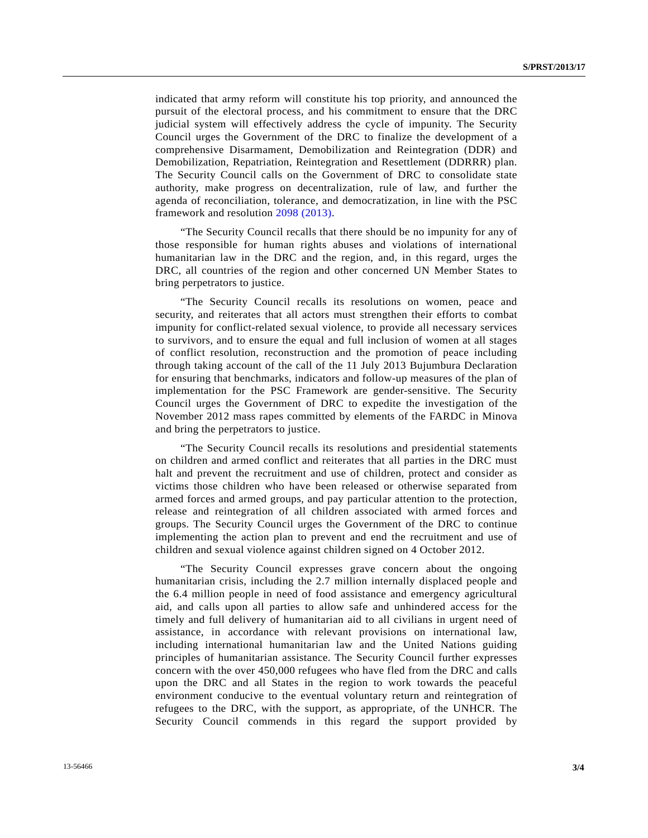indicated that army reform will constitute his top priority, and announced the pursuit of the electoral process, and his commitment to ensure that the DRC judicial system will effectively address the cycle of impunity. The Security Council urges the Government of the DRC to finalize the development of a comprehensive Disarmament, Demobilization and Reintegration (DDR) and Demobilization, Repatriation, Reintegration and Resettlement (DDRRR) plan. The Security Council calls on the Government of DRC to consolidate state authority, make progress on decentralization, rule of law, and further the agenda of reconciliation, tolerance, and democratization, in line with the PSC framework and resolution [2098 \(2013\).](http://undocs.org/S/RES/2098(2013))

 "The Security Council recalls that there should be no impunity for any of those responsible for human rights abuses and violations of international humanitarian law in the DRC and the region, and, in this regard, urges the DRC, all countries of the region and other concerned UN Member States to bring perpetrators to justice.

 "The Security Council recalls its resolutions on women, peace and security, and reiterates that all actors must strengthen their efforts to combat impunity for conflict-related sexual violence, to provide all necessary services to survivors, and to ensure the equal and full inclusion of women at all stages of conflict resolution, reconstruction and the promotion of peace including through taking account of the call of the 11 July 2013 Bujumbura Declaration for ensuring that benchmarks, indicators and follow-up measures of the plan of implementation for the PSC Framework are gender-sensitive. The Security Council urges the Government of DRC to expedite the investigation of the November 2012 mass rapes committed by elements of the FARDC in Minova and bring the perpetrators to justice.

 "The Security Council recalls its resolutions and presidential statements on children and armed conflict and reiterates that all parties in the DRC must halt and prevent the recruitment and use of children, protect and consider as victims those children who have been released or otherwise separated from armed forces and armed groups, and pay particular attention to the protection, release and reintegration of all children associated with armed forces and groups. The Security Council urges the Government of the DRC to continue implementing the action plan to prevent and end the recruitment and use of children and sexual violence against children signed on 4 October 2012.

 "The Security Council expresses grave concern about the ongoing humanitarian crisis, including the 2.7 million internally displaced people and the 6.4 million people in need of food assistance and emergency agricultural aid, and calls upon all parties to allow safe and unhindered access for the timely and full delivery of humanitarian aid to all civilians in urgent need of assistance, in accordance with relevant provisions on international law, including international humanitarian law and the United Nations guiding principles of humanitarian assistance. The Security Council further expresses concern with the over 450,000 refugees who have fled from the DRC and calls upon the DRC and all States in the region to work towards the peaceful environment conducive to the eventual voluntary return and reintegration of refugees to the DRC, with the support, as appropriate, of the UNHCR. The Security Council commends in this regard the support provided by